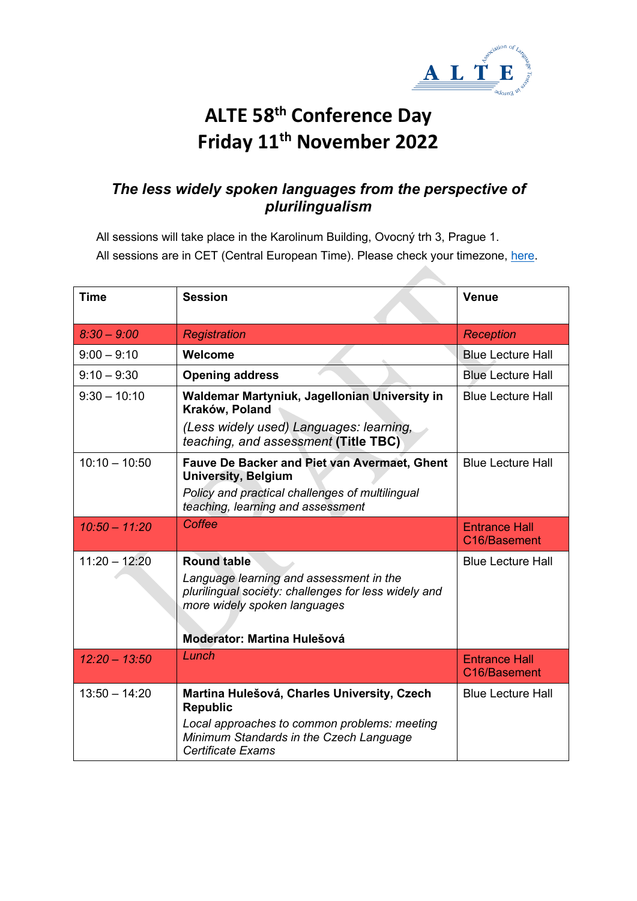

## **ALTE 58th Conference Day Friday 11th November 2022**

## *The less widely spoken languages from the perspective of plurilingualism*

All sessions will take place in the Karolinum Building, Ovocný trh 3, Prague 1. All sessions are in CET (Central European Time). Please check your timezone, [here.](https://www.timeanddate.com/worldclock/converter.html)

| <b>Time</b>     | <b>Session</b>                                                                                                                                        | <b>Venue</b>                         |
|-----------------|-------------------------------------------------------------------------------------------------------------------------------------------------------|--------------------------------------|
| $8:30 - 9:00$   | Registration                                                                                                                                          | <b>Reception</b>                     |
| $9:00 - 9:10$   | Welcome                                                                                                                                               | <b>Blue Lecture Hall</b>             |
| $9:10 - 9:30$   | <b>Opening address</b>                                                                                                                                | <b>Blue Lecture Hall</b>             |
| $9:30 - 10:10$  | Waldemar Martyniuk, Jagellonian University in<br>Kraków, Poland                                                                                       | <b>Blue Lecture Hall</b>             |
|                 | (Less widely used) Languages: learning,<br>teaching, and assessment (Title TBC)                                                                       |                                      |
| $10:10 - 10:50$ | <b>Fauve De Backer and Piet van Avermaet, Ghent</b><br><b>University, Belgium</b>                                                                     | <b>Blue Lecture Hall</b>             |
|                 | Policy and practical challenges of multilingual<br>teaching, learning and assessment                                                                  |                                      |
| $10:50 - 11:20$ | Coffee                                                                                                                                                | <b>Entrance Hall</b><br>C16/Basement |
| $11:20 - 12:20$ | <b>Round table</b><br>Language learning and assessment in the<br>plurilingual society: challenges for less widely and<br>more widely spoken languages | <b>Blue Lecture Hall</b>             |
|                 | Moderator: Martina Hulešová                                                                                                                           |                                      |
| $12:20 - 13:50$ | Lunch                                                                                                                                                 | <b>Entrance Hall</b><br>C16/Basement |
| $13:50 - 14:20$ | Martina Hulešová, Charles University, Czech<br><b>Republic</b>                                                                                        | <b>Blue Lecture Hall</b>             |
|                 | Local approaches to common problems: meeting<br>Minimum Standards in the Czech Language<br>Certificate Exams                                          |                                      |